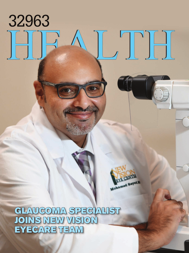## GLAUCOMA SPECIALIST JOINS NEW VISION VISION EYECARE TEAM

-

**B.CENT** 

Mohamed Bayed

32963

 $\begin{matrix} 1 & 1 \\ 1 & 1 \end{matrix}$